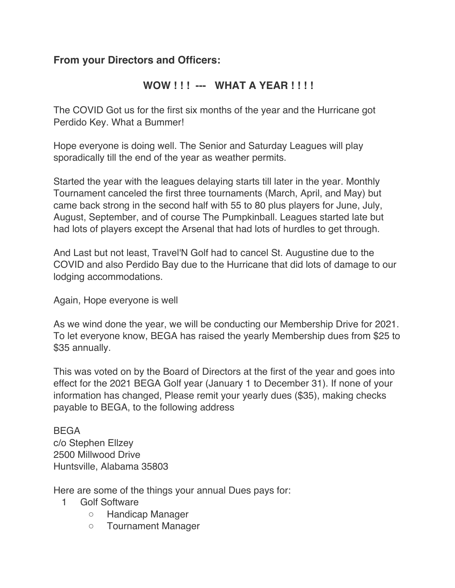## **From your Directors and Officers:**

## **WOW ! ! ! --- WHAT A YEAR ! ! ! !**

The COVID Got us for the first six months of the year and the Hurricane got Perdido Key. What a Bummer!

Hope everyone is doing well. The Senior and Saturday Leagues will play sporadically till the end of the year as weather permits.

Started the year with the leagues delaying starts till later in the year. Monthly Tournament canceled the first three tournaments (March, April, and May) but came back strong in the second half with 55 to 80 plus players for June, July, August, September, and of course The Pumpkinball. Leagues started late but had lots of players except the Arsenal that had lots of hurdles to get through.

And Last but not least, Travel'N Golf had to cancel St. Augustine due to the COVID and also Perdido Bay due to the Hurricane that did lots of damage to our lodging accommodations.

Again, Hope everyone is well

As we wind done the year, we will be conducting our Membership Drive for 2021. To let everyone know, BEGA has raised the yearly Membership dues from \$25 to \$35 annually.

This was voted on by the Board of Directors at the first of the year and goes into effect for the 2021 BEGA Golf year (January 1 to December 31). If none of your information has changed, Please remit your yearly dues (\$35), making checks payable to BEGA, to the following address

BEGA c/o Stephen Ellzey 2500 Millwood Drive Huntsville, Alabama 35803

Here are some of the things your annual Dues pays for:

- 1 Golf Software
	- Handicap Manager
	- Tournament Manager